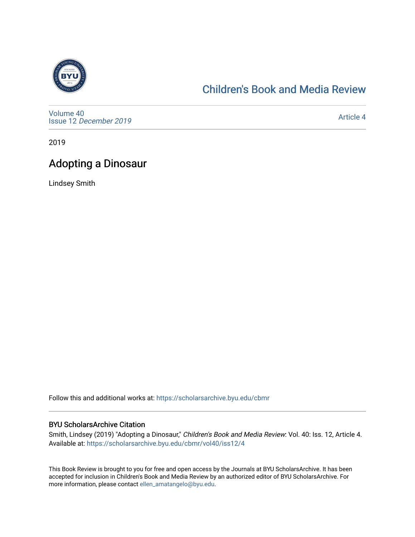

#### [Children's Book and Media Review](https://scholarsarchive.byu.edu/cbmr)

[Volume 40](https://scholarsarchive.byu.edu/cbmr/vol40) Issue 12 [December 2019](https://scholarsarchive.byu.edu/cbmr/vol40/iss12)

[Article 4](https://scholarsarchive.byu.edu/cbmr/vol40/iss12/4) 

2019

#### Adopting a Dinosaur

Lindsey Smith

Follow this and additional works at: [https://scholarsarchive.byu.edu/cbmr](https://scholarsarchive.byu.edu/cbmr?utm_source=scholarsarchive.byu.edu%2Fcbmr%2Fvol40%2Fiss12%2F4&utm_medium=PDF&utm_campaign=PDFCoverPages) 

#### BYU ScholarsArchive Citation

Smith, Lindsey (2019) "Adopting a Dinosaur," Children's Book and Media Review: Vol. 40: Iss. 12, Article 4. Available at: [https://scholarsarchive.byu.edu/cbmr/vol40/iss12/4](https://scholarsarchive.byu.edu/cbmr/vol40/iss12/4?utm_source=scholarsarchive.byu.edu%2Fcbmr%2Fvol40%2Fiss12%2F4&utm_medium=PDF&utm_campaign=PDFCoverPages)

This Book Review is brought to you for free and open access by the Journals at BYU ScholarsArchive. It has been accepted for inclusion in Children's Book and Media Review by an authorized editor of BYU ScholarsArchive. For more information, please contact [ellen\\_amatangelo@byu.edu.](mailto:ellen_amatangelo@byu.edu)